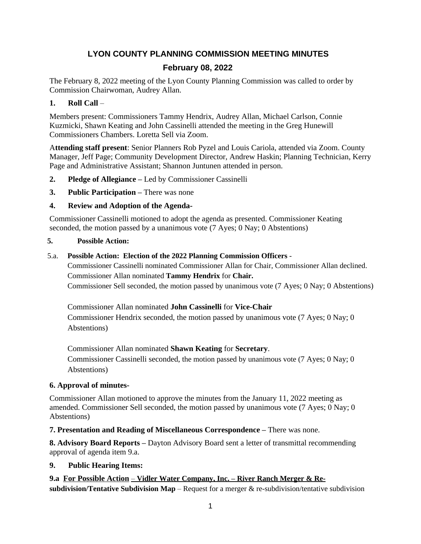# **LYON COUNTY PLANNING COMMISSION MEETING MINUTES**

## **February 08, 2022**

The February 8, 2022 meeting of the Lyon County Planning Commission was called to order by Commission Chairwoman, Audrey Allan.

#### **1. Roll Call** –

Members present: Commissioners Tammy Hendrix, Audrey Allan, Michael Carlson, Connie Kuzmicki, Shawn Keating and John Cassinelli attended the meeting in the Greg Hunewill Commissioners Chambers. Loretta Sell via Zoom.

A**ttending staff present**: Senior Planners Rob Pyzel and Louis Cariola, attended via Zoom. County Manager, Jeff Page; Community Development Director, Andrew Haskin; Planning Technician, Kerry Page and Administrative Assistant; Shannon Juntunen attended in person.

- **2. Pledge of Allegiance –** Led by Commissioner Cassinelli
- **3. Public Participation –** There was none

#### **4. Review and Adoption of the Agenda-**

Commissioner Cassinelli motioned to adopt the agenda as presented. Commissioner Keating seconded, the motion passed by a unanimous vote (7 Ayes; 0 Nay; 0 Abstentions)

#### **5. Possible Action:**

#### 5.a. **Possible Action: Election of the 2022 Planning Commission Officers** -

Commissioner Cassinelli nominated Commissioner Allan for Chair, Commissioner Allan declined. Commissioner Allan nominated **Tammy Hendrix** for **Chair.** Commissioner Sell seconded, the motion passed by unanimous vote (7 Ayes; 0 Nay; 0 Abstentions)

Commissioner Allan nominated **John Cassinelli** for **Vice-Chair** Commissioner Hendrix seconded, the motion passed by unanimous vote (7 Ayes; 0 Nay; 0 Abstentions)

Commissioner Allan nominated **Shawn Keating** for **Secretary**. Commissioner Cassinelli seconded, the motion passed by unanimous vote (7 Ayes; 0 Nay; 0 Abstentions)

#### **6. Approval of minutes-**

Commissioner Allan motioned to approve the minutes from the January 11, 2022 meeting as amended. Commissioner Sell seconded, the motion passed by unanimous vote (7 Ayes; 0 Nay; 0 Abstentions)

**7. Presentation and Reading of Miscellaneous Correspondence –** There was none.

**8. Advisory Board Reports –** Dayton Advisory Board sent a letter of transmittal recommending approval of agenda item 9.a.

#### **9. Public Hearing Items:**

**9.a For Possible Action** – **Vidler Water Company, Inc. – River Ranch Merger & Resubdivision/Tentative Subdivision Map** – Request for a merger & re-subdivision/tentative subdivision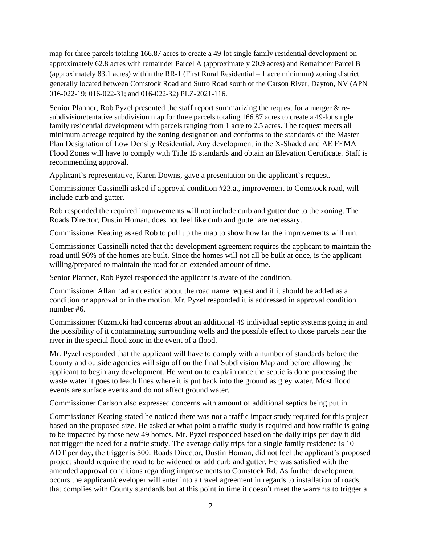map for three parcels totaling 166.87 acres to create a 49-lot single family residential development on approximately 62.8 acres with remainder Parcel A (approximately 20.9 acres) and Remainder Parcel B (approximately 83.1 acres) within the RR-1 (First Rural Residential – 1 acre minimum) zoning district generally located between Comstock Road and Sutro Road south of the Carson River, Dayton, NV (APN 016-022-19; 016-022-31; and 016-022-32) PLZ-2021-116.

Senior Planner, Rob Pyzel presented the staff report summarizing the request for a merger & resubdivision/tentative subdivision map for three parcels totaling 166.87 acres to create a 49-lot single family residential development with parcels ranging from 1 acre to 2.5 acres. The request meets all minimum acreage required by the zoning designation and conforms to the standards of the Master Plan Designation of Low Density Residential. Any development in the X-Shaded and AE FEMA Flood Zones will have to comply with Title 15 standards and obtain an Elevation Certificate. Staff is recommending approval.

Applicant's representative, Karen Downs, gave a presentation on the applicant's request.

Commissioner Cassinelli asked if approval condition #23.a., improvement to Comstock road, will include curb and gutter.

Rob responded the required improvements will not include curb and gutter due to the zoning. The Roads Director, Dustin Homan, does not feel like curb and gutter are necessary.

Commissioner Keating asked Rob to pull up the map to show how far the improvements will run.

Commissioner Cassinelli noted that the development agreement requires the applicant to maintain the road until 90% of the homes are built. Since the homes will not all be built at once, is the applicant willing/prepared to maintain the road for an extended amount of time.

Senior Planner, Rob Pyzel responded the applicant is aware of the condition.

Commissioner Allan had a question about the road name request and if it should be added as a condition or approval or in the motion. Mr. Pyzel responded it is addressed in approval condition number #6.

Commissioner Kuzmicki had concerns about an additional 49 individual septic systems going in and the possibility of it contaminating surrounding wells and the possible effect to those parcels near the river in the special flood zone in the event of a flood.

Mr. Pyzel responded that the applicant will have to comply with a number of standards before the County and outside agencies will sign off on the final Subdivision Map and before allowing the applicant to begin any development. He went on to explain once the septic is done processing the waste water it goes to leach lines where it is put back into the ground as grey water. Most flood events are surface events and do not affect ground water.

Commissioner Carlson also expressed concerns with amount of additional septics being put in.

Commissioner Keating stated he noticed there was not a traffic impact study required for this project based on the proposed size. He asked at what point a traffic study is required and how traffic is going to be impacted by these new 49 homes. Mr. Pyzel responded based on the daily trips per day it did not trigger the need for a traffic study. The average daily trips for a single family residence is 10 ADT per day, the trigger is 500. Roads Director, Dustin Homan, did not feel the applicant's proposed project should require the road to be widened or add curb and gutter. He was satisfied with the amended approval conditions regarding improvements to Comstock Rd. As further development occurs the applicant/developer will enter into a travel agreement in regards to installation of roads, that complies with County standards but at this point in time it doesn't meet the warrants to trigger a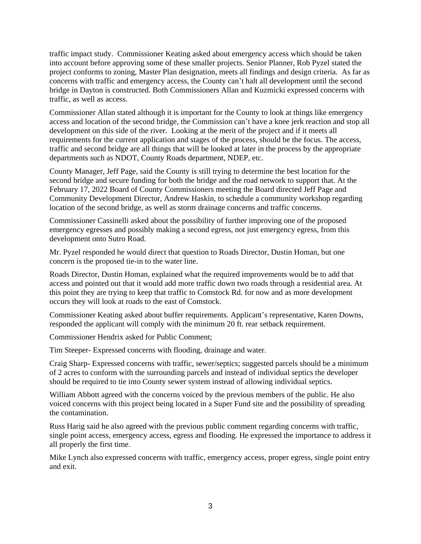traffic impact study. Commissioner Keating asked about emergency access which should be taken into account before approving some of these smaller projects. Senior Planner, Rob Pyzel stated the project conforms to zoning, Master Plan designation, meets all findings and design criteria. As far as concerns with traffic and emergency access, the County can't halt all development until the second bridge in Dayton is constructed. Both Commissioners Allan and Kuzmicki expressed concerns with traffic, as well as access.

Commissioner Allan stated although it is important for the County to look at things like emergency access and location of the second bridge, the Commission can't have a knee jerk reaction and stop all development on this side of the river. Looking at the merit of the project and if it meets all requirements for the current application and stages of the process, should be the focus. The access, traffic and second bridge are all things that will be looked at later in the process by the appropriate departments such as NDOT, County Roads department, NDEP, etc.

County Manager, Jeff Page, said the County is still trying to determine the best location for the second bridge and secure funding for both the bridge and the road network to support that. At the February 17, 2022 Board of County Commissioners meeting the Board directed Jeff Page and Community Development Director, Andrew Haskin, to schedule a community workshop regarding location of the second bridge, as well as storm drainage concerns and traffic concerns.

Commissioner Cassinelli asked about the possibility of further improving one of the proposed emergency egresses and possibly making a second egress, not just emergency egress, from this development onto Sutro Road.

Mr. Pyzel responded he would direct that question to Roads Director, Dustin Homan, but one concern is the proposed tie-in to the water line.

Roads Director, Dustin Homan, explained what the required improvements would be to add that access and pointed out that it would add more traffic down two roads through a residential area. At this point they are trying to keep that traffic to Comstock Rd. for now and as more development occurs they will look at roads to the east of Comstock.

Commissioner Keating asked about buffer requirements. Applicant's representative, Karen Downs, responded the applicant will comply with the minimum 20 ft. rear setback requirement.

Commissioner Hendrix asked for Public Comment;

Tim Steeper- Expressed concerns with flooding, drainage and water.

Craig Sharp- Expressed concerns with traffic, sewer/septics; suggested parcels should be a minimum of 2 acres to conform with the surrounding parcels and instead of individual septics the developer should be required to tie into County sewer system instead of allowing individual septics.

William Abbott agreed with the concerns voiced by the previous members of the public. He also voiced concerns with this project being located in a Super Fund site and the possibility of spreading the contamination.

Russ Harig said he also agreed with the previous public comment regarding concerns with traffic, single point access, emergency access, egress and flooding. He expressed the importance to address it all properly the first time.

Mike Lynch also expressed concerns with traffic, emergency access, proper egress, single point entry and exit.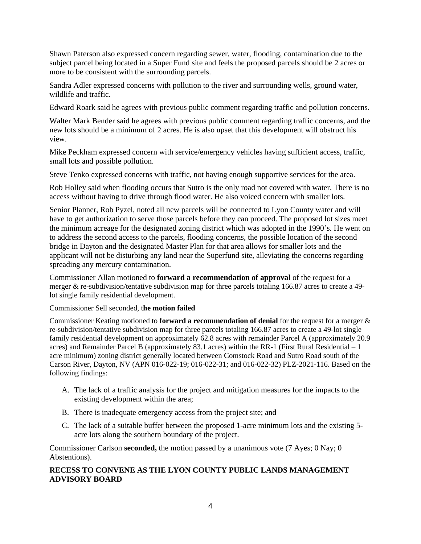Shawn Paterson also expressed concern regarding sewer, water, flooding, contamination due to the subject parcel being located in a Super Fund site and feels the proposed parcels should be 2 acres or more to be consistent with the surrounding parcels.

Sandra Adler expressed concerns with pollution to the river and surrounding wells, ground water, wildlife and traffic.

Edward Roark said he agrees with previous public comment regarding traffic and pollution concerns.

Walter Mark Bender said he agrees with previous public comment regarding traffic concerns, and the new lots should be a minimum of 2 acres. He is also upset that this development will obstruct his view.

Mike Peckham expressed concern with service/emergency vehicles having sufficient access, traffic, small lots and possible pollution.

Steve Tenko expressed concerns with traffic, not having enough supportive services for the area.

Rob Holley said when flooding occurs that Sutro is the only road not covered with water. There is no access without having to drive through flood water. He also voiced concern with smaller lots.

Senior Planner, Rob Pyzel, noted all new parcels will be connected to Lyon County water and will have to get authorization to serve those parcels before they can proceed. The proposed lot sizes meet the minimum acreage for the designated zoning district which was adopted in the 1990's. He went on to address the second access to the parcels, flooding concerns, the possible location of the second bridge in Dayton and the designated Master Plan for that area allows for smaller lots and the applicant will not be disturbing any land near the Superfund site, alleviating the concerns regarding spreading any mercury contamination.

Commissioner Allan motioned to **forward a recommendation of approval** of the request for a merger & re-subdivision/tentative subdivision map for three parcels totaling 166.87 acres to create a 49 lot single family residential development.

Commissioner Sell seconded, t**he motion failed**

Commissioner Keating motioned to **forward a recommendation of denial** for the request for a merger & re-subdivision/tentative subdivision map for three parcels totaling 166.87 acres to create a 49-lot single family residential development on approximately 62.8 acres with remainder Parcel A (approximately 20.9 acres) and Remainder Parcel B (approximately 83.1 acres) within the RR-1 (First Rural Residential – 1 acre minimum) zoning district generally located between Comstock Road and Sutro Road south of the Carson River, Dayton, NV (APN 016-022-19; 016-022-31; and 016-022-32) PLZ-2021-116. Based on the following findings:

- A. The lack of a traffic analysis for the project and mitigation measures for the impacts to the existing development within the area;
- B. There is inadequate emergency access from the project site; and
- C. The lack of a suitable buffer between the proposed 1-acre minimum lots and the existing 5 acre lots along the southern boundary of the project.

Commissioner Carlson **seconded,** the motion passed by a unanimous vote (7 Ayes; 0 Nay; 0 Abstentions).

#### **RECESS TO CONVENE AS THE LYON COUNTY PUBLIC LANDS MANAGEMENT ADVISORY BOARD**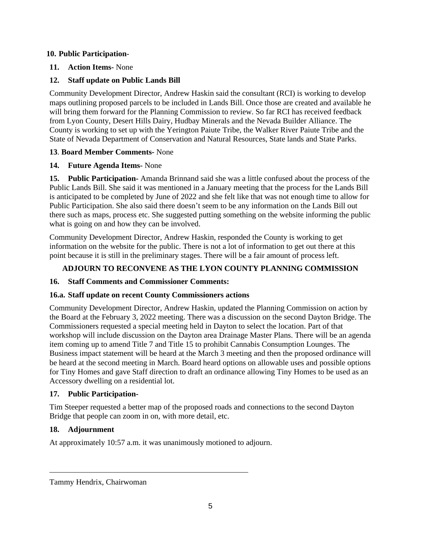#### **10. Public Participation**-

#### **11. Action Items-** None

## **12. Staff update on Public Lands Bill**

Community Development Director, Andrew Haskin said the consultant (RCI) is working to develop maps outlining proposed parcels to be included in Lands Bill. Once those are created and available he will bring them forward for the Planning Commission to review. So far RCI has received feedback from Lyon County, Desert Hills Dairy, Hudbay Minerals and the Nevada Builder Alliance. The County is working to set up with the Yerington Paiute Tribe, the Walker River Paiute Tribe and the State of Nevada Department of Conservation and Natural Resources, State lands and State Parks.

#### **13**. **Board Member Comments-** None

#### **14. Future Agenda Items-** None

**15. Public Participation-** Amanda Brinnand said she was a little confused about the process of the Public Lands Bill. She said it was mentioned in a January meeting that the process for the Lands Bill is anticipated to be completed by June of 2022 and she felt like that was not enough time to allow for Public Participation. She also said there doesn't seem to be any information on the Lands Bill out there such as maps, process etc. She suggested putting something on the website informing the public what is going on and how they can be involved.

Community Development Director, Andrew Haskin, responded the County is working to get information on the website for the public. There is not a lot of information to get out there at this point because it is still in the preliminary stages. There will be a fair amount of process left.

## **ADJOURN TO RECONVENE AS THE LYON COUNTY PLANNING COMMISSION**

## **16. Staff Comments and Commissioner Comments:**

## **16.a. Staff update on recent County Commissioners actions**

Community Development Director, Andrew Haskin, updated the Planning Commission on action by the Board at the February 3, 2022 meeting. There was a discussion on the second Dayton Bridge. The Commissioners requested a special meeting held in Dayton to select the location. Part of that workshop will include discussion on the Dayton area Drainage Master Plans. There will be an agenda item coming up to amend Title 7 and Title 15 to prohibit Cannabis Consumption Lounges. The Business impact statement will be heard at the March 3 meeting and then the proposed ordinance will be heard at the second meeting in March. Board heard options on allowable uses and possible options for Tiny Homes and gave Staff direction to draft an ordinance allowing Tiny Homes to be used as an Accessory dwelling on a residential lot.

#### **17. Public Participation-**

Tim Steeper requested a better map of the proposed roads and connections to the second Dayton Bridge that people can zoom in on, with more detail, etc.

## **18. Adjournment**

 $\overline{a}$ 

At approximately 10:57 a.m. it was unanimously motioned to adjourn.

Tammy Hendrix, Chairwoman